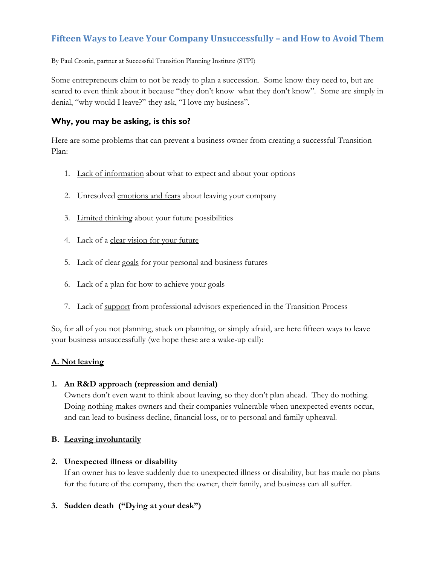By Paul Cronin, partner at Successful Transition Planning Institute (STPI)

Some entrepreneurs claim to not be ready to plan a succession. Some know they need to, but are scared to even think about it because "they don't know, what they don't know". Some are simply in denial, "why would I leave?" they ask, "I love my business".

# **Why, you may be asking, is this so?**

Here are some problems that can prevent a business owner from creating a successful Transition Plan:

- 1. Lack of information about what to expect and about your options
- 2. Unresolved emotions and fears about leaving your company
- 3. Limited thinking about your future possibilities
- 4. Lack of a clear vision for your future
- 5. Lack of clear goals for your personal and business futures
- 6. Lack of a plan for how to achieve your goals
- 7. Lack of support from professional advisors experienced in the Transition Process

So, for all of you not planning, stuck on planning, or simply afraid, are here fifteen ways to leave your business unsuccessfully (we hope these are a wake-up call):

# **A. Not leaving**

# **1. An R&D approach (repression and denial)**

Owners don't even want to think about leaving, so they don't plan ahead. They do nothing. Doing nothing makes owners and their companies vulnerable when unexpected events occur, and can lead to business decline, financial loss, or to personal and family upheaval.

# **B. Leaving involuntarily**

# **2. Unexpected illness or disability**

If an owner has to leave suddenly due to unexpected illness or disability, but has made no plans for the future of the company, then the owner, their family, and business can all suffer.

# **3. Sudden death ("Dying at your desk")**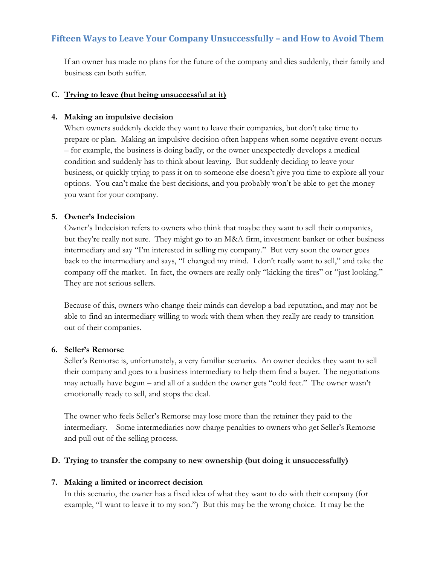If an owner has made no plans for the future of the company and dies suddenly, their family and business can both suffer.

### **C. Trying to leave (but being unsuccessful at it)**

## **4. Making an impulsive decision**

When owners suddenly decide they want to leave their companies, but don't take time to prepare or plan. Making an impulsive decision often happens when some negative event occurs – for example, the business is doing badly, or the owner unexpectedly develops a medical condition and suddenly has to think about leaving. But suddenly deciding to leave your business, or quickly trying to pass it on to someone else doesn't give you time to explore all your options. You can't make the best decisions, and you probably won't be able to get the money you want for your company.

## **5. Owner's Indecision**

Owner's Indecision refers to owners who think that maybe they want to sell their companies, but they're really not sure. They might go to an M&A firm, investment banker or other business intermediary and say "I'm interested in selling my company." But very soon the owner goes back to the intermediary and says, "I changed my mind. I don't really want to sell," and take the company off the market. In fact, the owners are really only "kicking the tires" or "just looking." They are not serious sellers.

Because of this, owners who change their minds can develop a bad reputation, and may not be able to find an intermediary willing to work with them when they really are ready to transition out of their companies.

### **6. Seller's Remorse**

Seller's Remorse is, unfortunately, a very familiar scenario. An owner decides they want to sell their company and goes to a business intermediary to help them find a buyer. The negotiations may actually have begun – and all of a sudden the owner gets "cold feet." The owner wasn't emotionally ready to sell, and stops the deal.

The owner who feels Seller's Remorse may lose more than the retainer they paid to the intermediary. Some intermediaries now charge penalties to owners who get Seller's Remorse and pull out of the selling process.

### **D. Trying to transfer the company to new ownership (but doing it unsuccessfully)**

### **7. Making a limited or incorrect decision**

In this scenario, the owner has a fixed idea of what they want to do with their company (for example, "I want to leave it to my son.") But this may be the wrong choice. It may be the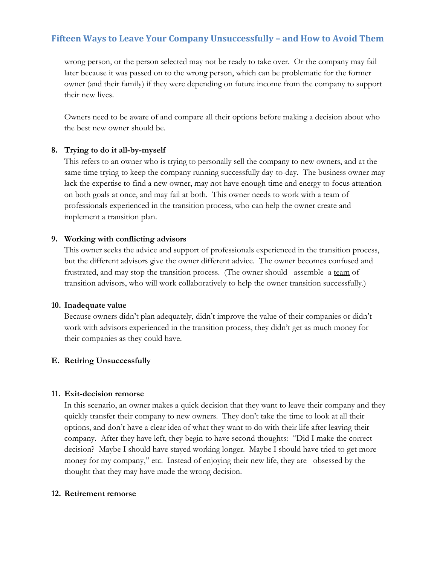wrong person, or the person selected may not be ready to take over. Or the company may fail later because it was passed on to the wrong person, which can be problematic for the former owner (and their family) if they were depending on future income from the company to support their new lives.

Owners need to be aware of and compare all their options before making a decision about who the best new owner should be.

## **8. Trying to do it all-by-myself**

This refers to an owner who is trying to personally sell the company to new owners, and at the same time trying to keep the company running successfully day-to-day. The business owner may lack the expertise to find a new owner, may not have enough time and energy to focus attention on both goals at once, and may fail at both. This owner needs to work with a team of professionals experienced in the transition process, who can help the owner create and implement a transition plan.

## **9. Working with conflicting advisors**

This owner seeks the advice and support of professionals experienced in the transition process, but the different advisors give the owner different advice. The owner becomes confused and frustrated, and may stop the transition process. (The owner should assemble a team of transition advisors, who will work collaboratively to help the owner transition successfully.)

### **10. Inadequate value**

Because owners didn't plan adequately, didn't improve the value of their companies or didn't work with advisors experienced in the transition process, they didn't get as much money for their companies as they could have.

# **E. Retiring Unsuccessfully**

### **11. Exit-decision remorse**

In this scenario, an owner makes a quick decision that they want to leave their company and they quickly transfer their company to new owners. They don't take the time to look at all their options, and don't have a clear idea of what they want to do with their life after leaving their company. After they have left, they begin to have second thoughts: "Did I make the correct decision? Maybe I should have stayed working longer. Maybe I should have tried to get more money for my company," etc. Instead of enjoying their new life, they are obsessed by the thought that they may have made the wrong decision.

### **12. Retirement remorse**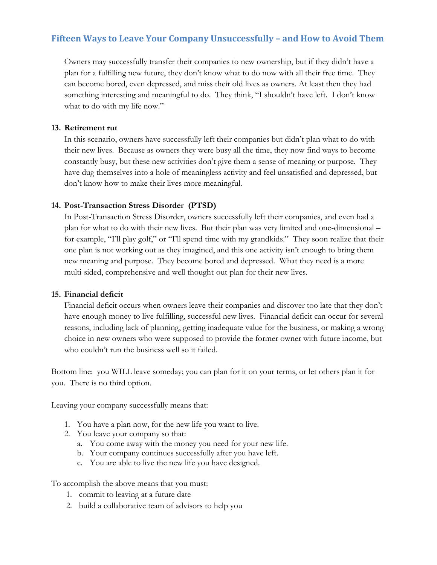Owners may successfully transfer their companies to new ownership, but if they didn't have a plan for a fulfilling new future, they don't know what to do now with all their free time. They can become bored, even depressed, and miss their old lives as owners. At least then they had something interesting and meaningful to do. They think, "I shouldn't have left. I don't know what to do with my life now."

## **13. Retirement rut**

In this scenario, owners have successfully left their companies but didn't plan what to do with their new lives. Because as owners they were busy all the time, they now find ways to become constantly busy, but these new activities don't give them a sense of meaning or purpose. They have dug themselves into a hole of meaningless activity and feel unsatisfied and depressed, but don't know how to make their lives more meaningful.

# **14. Post-Transaction Stress Disorder (PTSD)**

In Post-Transaction Stress Disorder, owners successfully left their companies, and even had a plan for what to do with their new lives. But their plan was very limited and one-dimensional – for example, "I'll play golf," or "I'll spend time with my grandkids." They soon realize that their one plan is not working out as they imagined, and this one activity isn't enough to bring them new meaning and purpose. They become bored and depressed. What they need is a more multi-sided, comprehensive and well thought-out plan for their new lives.

# **15. Financial deficit**

Financial deficit occurs when owners leave their companies and discover too late that they don't have enough money to live fulfilling, successful new lives. Financial deficit can occur for several reasons, including lack of planning, getting inadequate value for the business, or making a wrong choice in new owners who were supposed to provide the former owner with future income, but who couldn't run the business well so it failed.

Bottom line: you WILL leave someday; you can plan for it on your terms, or let others plan it for you. There is no third option.

Leaving your company successfully means that:

- 1. You have a plan now, for the new life you want to live.
- 2. You leave your company so that:
	- a. You come away with the money you need for your new life.
	- b. Your company continues successfully after you have left.
	- c. You are able to live the new life you have designed.

To accomplish the above means that you must:

- 1. commit to leaving at a future date
- 2. build a collaborative team of advisors to help you